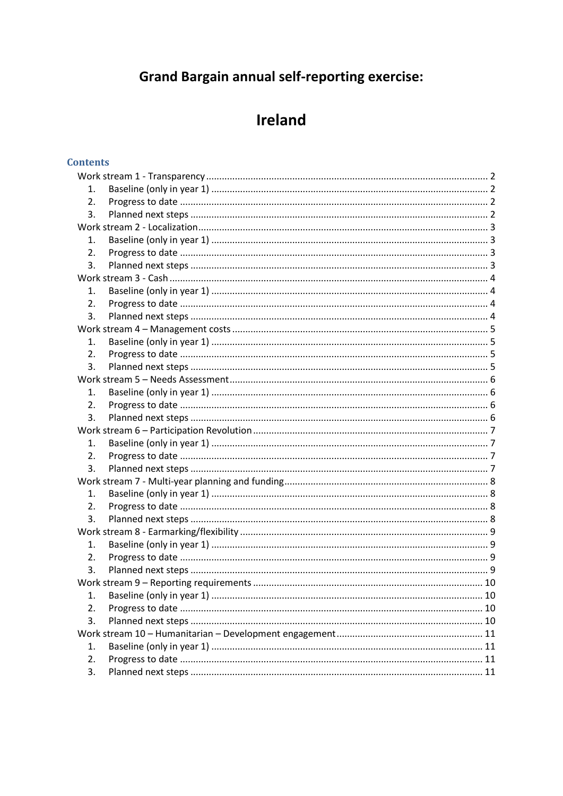# **Grand Bargain annual self-reporting exercise:**

# Ireland

# **Contents**

| 1.               |  |    |
|------------------|--|----|
| 2.               |  |    |
| 3.               |  |    |
|                  |  |    |
| 1.               |  |    |
| 2.               |  |    |
| 3.               |  |    |
|                  |  |    |
| 1.               |  |    |
| 2.               |  |    |
| 3.               |  |    |
|                  |  |    |
| 1.               |  |    |
| $\overline{2}$ . |  |    |
| 3.               |  |    |
|                  |  |    |
| 1.               |  |    |
| 2.               |  |    |
| 3.               |  |    |
|                  |  |    |
| 1.               |  |    |
| 2.               |  |    |
| 3.               |  |    |
|                  |  |    |
| 1.               |  |    |
| 2.               |  |    |
| 3.               |  |    |
|                  |  |    |
| 1.               |  |    |
| 2.               |  |    |
| 3.               |  |    |
|                  |  |    |
| 1.               |  | 10 |
| 2.               |  |    |
| 3.               |  |    |
|                  |  |    |
| 1.               |  |    |
| 2.               |  |    |
| 3.               |  |    |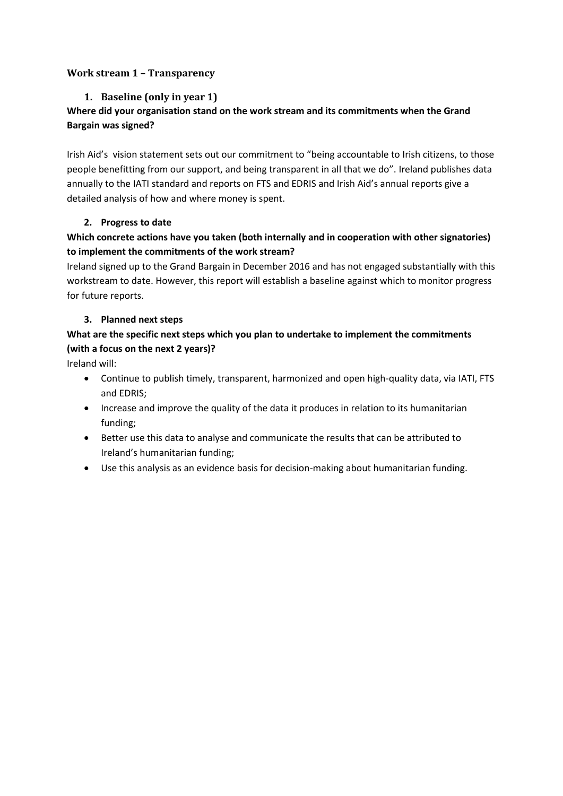#### <span id="page-1-1"></span><span id="page-1-0"></span>**Work stream 1 – Transparency**

### **1. Baseline (only in year 1)**

# **Where did your organisation stand on the work stream and its commitments when the Grand Bargain was signed?**

Irish Aid's vision statement sets out our commitment to "being accountable to Irish citizens, to those people benefitting from our support, and being transparent in all that we do". Ireland publishes data annually to the IATI standard and reports on FTS and EDRIS and Irish Aid's annual reports give a detailed analysis of how and where money is spent.

#### <span id="page-1-2"></span>**2. Progress to date**

# **Which concrete actions have you taken (both internally and in cooperation with other signatories) to implement the commitments of the work stream?**

Ireland signed up to the Grand Bargain in December 2016 and has not engaged substantially with this workstream to date. However, this report will establish a baseline against which to monitor progress for future reports.

#### <span id="page-1-3"></span>**3. Planned next steps**

# **What are the specific next steps which you plan to undertake to implement the commitments (with a focus on the next 2 years)?**

Ireland will:

- Continue to publish timely, transparent, harmonized and open high-quality data, via IATI, FTS and EDRIS;
- Increase and improve the quality of the data it produces in relation to its humanitarian funding;
- Better use this data to analyse and communicate the results that can be attributed to Ireland's humanitarian funding;
- Use this analysis as an evidence basis for decision-making about humanitarian funding.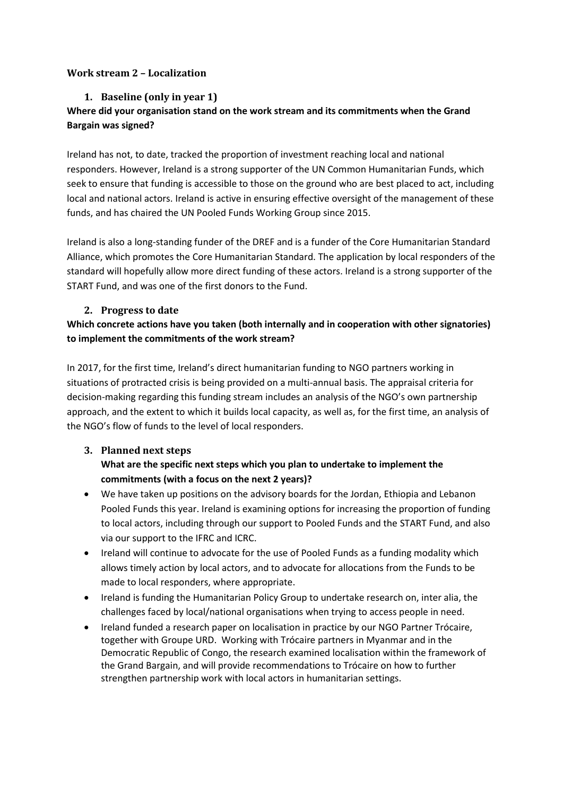#### <span id="page-2-1"></span><span id="page-2-0"></span>**Work stream 2 – Localization**

#### **1. Baseline (only in year 1)**

# **Where did your organisation stand on the work stream and its commitments when the Grand Bargain was signed?**

Ireland has not, to date, tracked the proportion of investment reaching local and national responders. However, Ireland is a strong supporter of the UN Common Humanitarian Funds, which seek to ensure that funding is accessible to those on the ground who are best placed to act, including local and national actors. Ireland is active in ensuring effective oversight of the management of these funds, and has chaired the UN Pooled Funds Working Group since 2015.

Ireland is also a long-standing funder of the DREF and is a funder of the Core Humanitarian Standard Alliance, which promotes the Core Humanitarian Standard. The application by local responders of the standard will hopefully allow more direct funding of these actors. Ireland is a strong supporter of the START Fund, and was one of the first donors to the Fund.

#### <span id="page-2-2"></span>**2. Progress to date**

# **Which concrete actions have you taken (both internally and in cooperation with other signatories) to implement the commitments of the work stream?**

In 2017, for the first time, Ireland's direct humanitarian funding to NGO partners working in situations of protracted crisis is being provided on a multi-annual basis. The appraisal criteria for decision-making regarding this funding stream includes an analysis of the NGO's own partnership approach, and the extent to which it builds local capacity, as well as, for the first time, an analysis of the NGO's flow of funds to the level of local responders.

# <span id="page-2-3"></span>**3. Planned next steps What are the specific next steps which you plan to undertake to implement the commitments (with a focus on the next 2 years)?**

- We have taken up positions on the advisory boards for the Jordan, Ethiopia and Lebanon Pooled Funds this year. Ireland is examining options for increasing the proportion of funding to local actors, including through our support to Pooled Funds and the START Fund, and also via our support to the IFRC and ICRC.
- Ireland will continue to advocate for the use of Pooled Funds as a funding modality which allows timely action by local actors, and to advocate for allocations from the Funds to be made to local responders, where appropriate.
- Ireland is funding the Humanitarian Policy Group to undertake research on, inter alia, the challenges faced by local/national organisations when trying to access people in need.
- <span id="page-2-4"></span>• Ireland funded a research paper on localisation in practice by our NGO Partner Trócaire, together with Groupe URD. Working with Trócaire partners in Myanmar and in the Democratic Republic of Congo, the research examined localisation within the framework of the Grand Bargain, and will provide recommendations to Trócaire on how to further strengthen partnership work with local actors in humanitarian settings.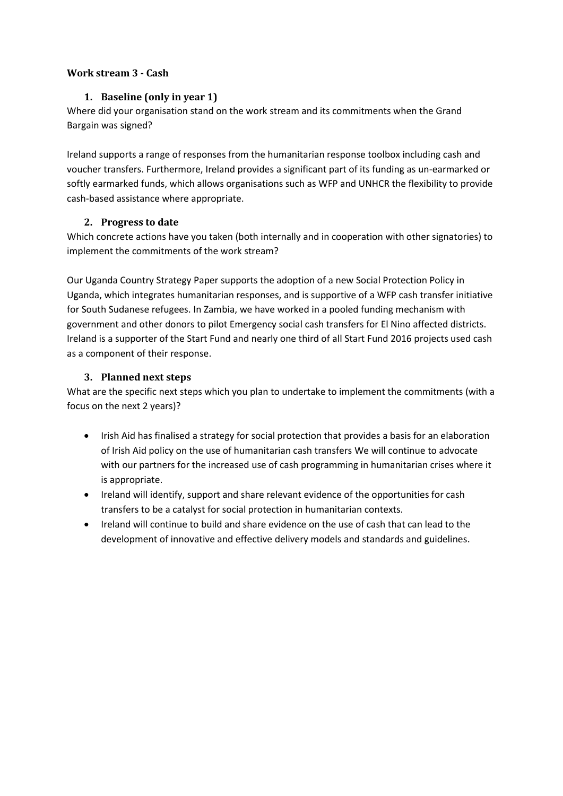#### <span id="page-3-0"></span>**Work stream 3 - Cash**

### **1. Baseline (only in year 1)**

Where did your organisation stand on the work stream and its commitments when the Grand Bargain was signed?

Ireland supports a range of responses from the humanitarian response toolbox including cash and voucher transfers. Furthermore, Ireland provides a significant part of its funding as un-earmarked or softly earmarked funds, which allows organisations such as WFP and UNHCR the flexibility to provide cash-based assistance where appropriate.

#### <span id="page-3-1"></span>**2. Progress to date**

Which concrete actions have you taken (both internally and in cooperation with other signatories) to implement the commitments of the work stream?

Our Uganda Country Strategy Paper supports the adoption of a new Social Protection Policy in Uganda, which integrates humanitarian responses, and is supportive of a WFP cash transfer initiative for South Sudanese refugees. In Zambia, we have worked in a pooled funding mechanism with government and other donors to pilot Emergency social cash transfers for El Nino affected districts. Ireland is a supporter of the Start Fund and nearly one third of all Start Fund 2016 projects used cash as a component of their response.

# **3. Planned next steps**

<span id="page-3-2"></span>What are the specific next steps which you plan to undertake to implement the commitments (with a focus on the next 2 years)?

- Irish Aid has finalised a strategy for social protection that provides a basis for an elaboration of Irish Aid policy on the use of humanitarian cash transfers We will continue to advocate with our partners for the increased use of cash programming in humanitarian crises where it is appropriate.
- Ireland will identify, support and share relevant evidence of the opportunities for cash transfers to be a catalyst for social protection in humanitarian contexts.
- Ireland will continue to build and share evidence on the use of cash that can lead to the development of innovative and effective delivery models and standards and guidelines.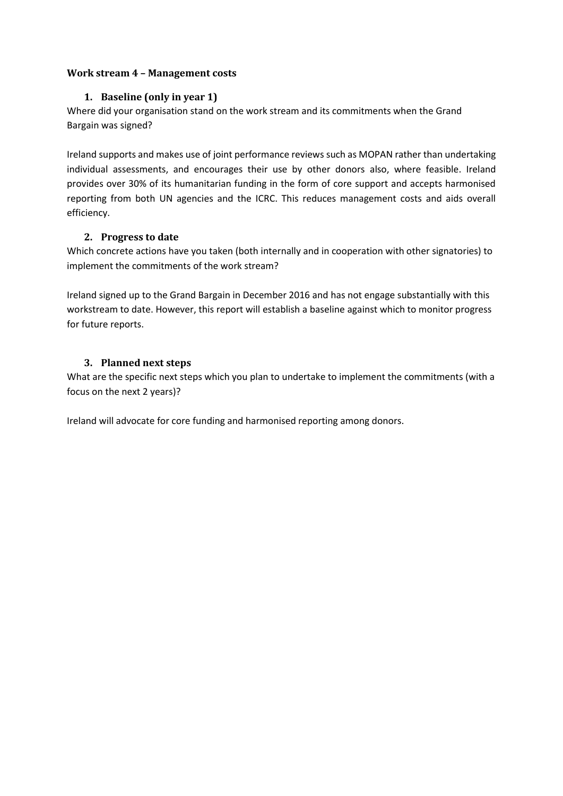#### <span id="page-4-1"></span><span id="page-4-0"></span>**Work stream 4 – Management costs**

#### **1. Baseline (only in year 1)**

Where did your organisation stand on the work stream and its commitments when the Grand Bargain was signed?

Ireland supports and makes use of joint performance reviews such as MOPAN rather than undertaking individual assessments, and encourages their use by other donors also, where feasible. Ireland provides over 30% of its humanitarian funding in the form of core support and accepts harmonised reporting from both UN agencies and the ICRC. This reduces management costs and aids overall efficiency.

#### <span id="page-4-2"></span>**2. Progress to date**

Which concrete actions have you taken (both internally and in cooperation with other signatories) to implement the commitments of the work stream?

Ireland signed up to the Grand Bargain in December 2016 and has not engage substantially with this workstream to date. However, this report will establish a baseline against which to monitor progress for future reports.

# <span id="page-4-3"></span>**3. Planned next steps**

What are the specific next steps which you plan to undertake to implement the commitments (with a focus on the next 2 years)?

Ireland will advocate for core funding and harmonised reporting among donors.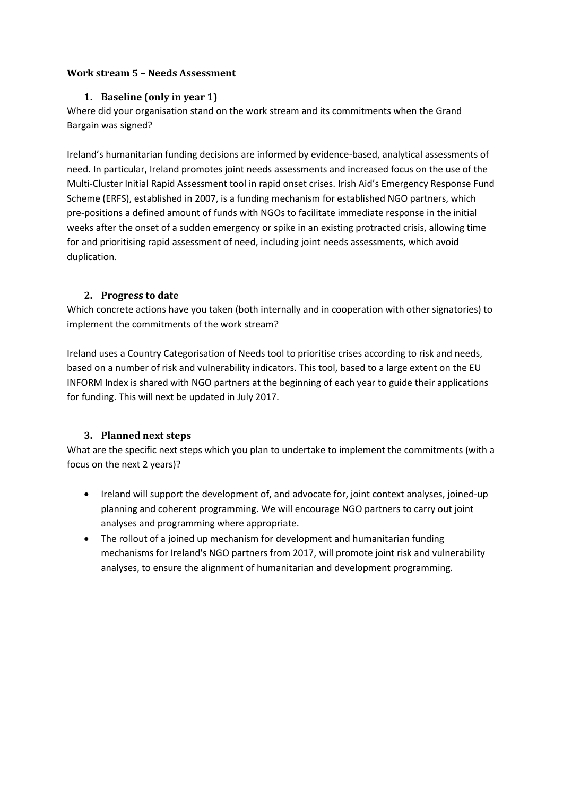#### <span id="page-5-1"></span><span id="page-5-0"></span>**Work stream 5 – Needs Assessment**

#### **1. Baseline (only in year 1)**

Where did your organisation stand on the work stream and its commitments when the Grand Bargain was signed?

Ireland's humanitarian funding decisions are informed by evidence-based, analytical assessments of need. In particular, Ireland promotes joint needs assessments and increased focus on the use of the Multi-Cluster Initial Rapid Assessment tool in rapid onset crises. Irish Aid's Emergency Response Fund Scheme (ERFS), established in 2007, is a funding mechanism for established NGO partners, which pre-positions a defined amount of funds with NGOs to facilitate immediate response in the initial weeks after the onset of a sudden emergency or spike in an existing protracted crisis, allowing time for and prioritising rapid assessment of need, including joint needs assessments, which avoid duplication.

#### <span id="page-5-2"></span>**2. Progress to date**

Which concrete actions have you taken (both internally and in cooperation with other signatories) to implement the commitments of the work stream?

Ireland uses a Country Categorisation of Needs tool to prioritise crises according to risk and needs, based on a number of risk and vulnerability indicators. This tool, based to a large extent on the EU INFORM Index is shared with NGO partners at the beginning of each year to guide their applications for funding. This will next be updated in July 2017.

# <span id="page-5-3"></span>**3. Planned next steps**

What are the specific next steps which you plan to undertake to implement the commitments (with a focus on the next 2 years)?

- Ireland will support the development of, and advocate for, joint context analyses, joined-up planning and coherent programming. We will encourage NGO partners to carry out joint analyses and programming where appropriate.
- The rollout of a joined up mechanism for development and humanitarian funding mechanisms for Ireland's NGO partners from 2017, will promote joint risk and vulnerability analyses, to ensure the alignment of humanitarian and development programming.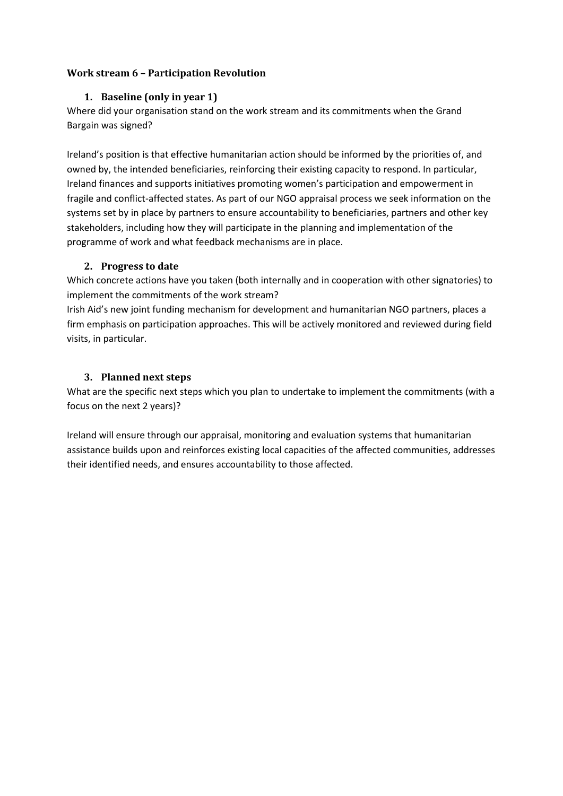#### <span id="page-6-1"></span><span id="page-6-0"></span>**Work stream 6 – Participation Revolution**

#### **1. Baseline (only in year 1)**

Where did your organisation stand on the work stream and its commitments when the Grand Bargain was signed?

Ireland's position is that effective humanitarian action should be informed by the priorities of, and owned by, the intended beneficiaries, reinforcing their existing capacity to respond. In particular, Ireland finances and supports initiatives promoting women's participation and empowerment in fragile and conflict-affected states. As part of our NGO appraisal process we seek information on the systems set by in place by partners to ensure accountability to beneficiaries, partners and other key stakeholders, including how they will participate in the planning and implementation of the programme of work and what feedback mechanisms are in place.

#### <span id="page-6-2"></span>**2. Progress to date**

Which concrete actions have you taken (both internally and in cooperation with other signatories) to implement the commitments of the work stream?

Irish Aid's new joint funding mechanism for development and humanitarian NGO partners, places a firm emphasis on participation approaches. This will be actively monitored and reviewed during field visits, in particular.

# <span id="page-6-3"></span>**3. Planned next steps**

What are the specific next steps which you plan to undertake to implement the commitments (with a focus on the next 2 years)?

Ireland will ensure through our appraisal, monitoring and evaluation systems that humanitarian assistance builds upon and reinforces existing local capacities of the affected communities, addresses their identified needs, and ensures accountability to those affected.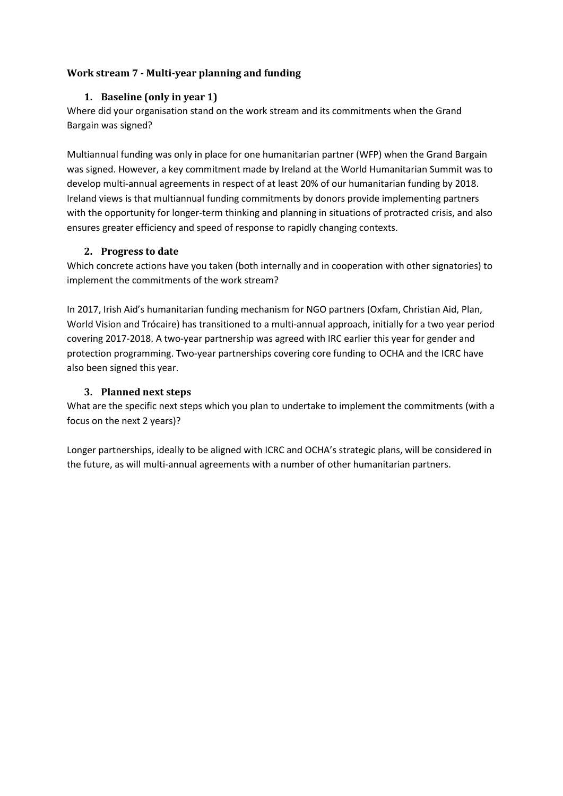### <span id="page-7-1"></span><span id="page-7-0"></span>**Work stream 7 - Multi-year planning and funding**

#### **1. Baseline (only in year 1)**

Where did your organisation stand on the work stream and its commitments when the Grand Bargain was signed?

Multiannual funding was only in place for one humanitarian partner (WFP) when the Grand Bargain was signed. However, a key commitment made by Ireland at the World Humanitarian Summit was to develop multi-annual agreements in respect of at least 20% of our humanitarian funding by 2018. Ireland views is that multiannual funding commitments by donors provide implementing partners with the opportunity for longer-term thinking and planning in situations of protracted crisis, and also ensures greater efficiency and speed of response to rapidly changing contexts.

#### <span id="page-7-2"></span>**2. Progress to date**

Which concrete actions have you taken (both internally and in cooperation with other signatories) to implement the commitments of the work stream?

In 2017, Irish Aid's humanitarian funding mechanism for NGO partners (Oxfam, Christian Aid, Plan, World Vision and Trócaire) has transitioned to a multi-annual approach, initially for a two year period covering 2017-2018. A two-year partnership was agreed with IRC earlier this year for gender and protection programming. Two-year partnerships covering core funding to OCHA and the ICRC have also been signed this year.

#### <span id="page-7-3"></span>**3. Planned next steps**

What are the specific next steps which you plan to undertake to implement the commitments (with a focus on the next 2 years)?

Longer partnerships, ideally to be aligned with ICRC and OCHA's strategic plans, will be considered in the future, as will multi-annual agreements with a number of other humanitarian partners.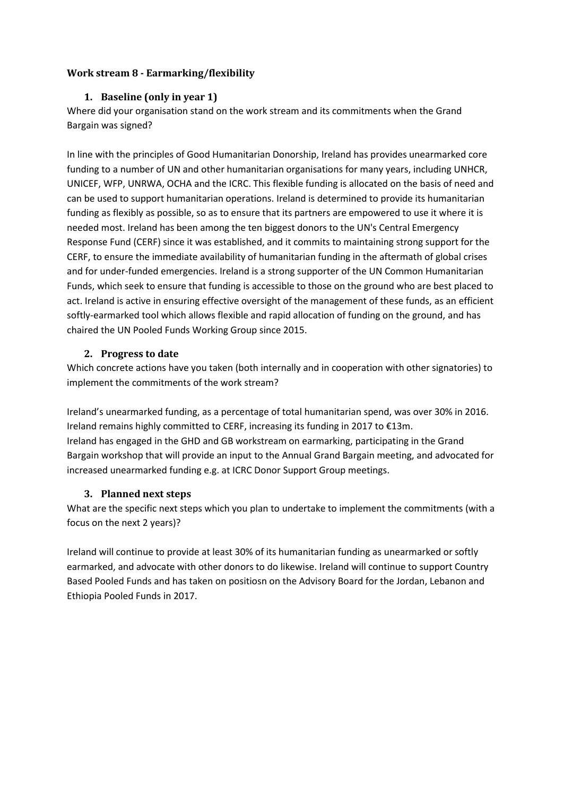### <span id="page-8-1"></span><span id="page-8-0"></span>**Work stream 8 - Earmarking/flexibility**

#### **1. Baseline (only in year 1)**

Where did your organisation stand on the work stream and its commitments when the Grand Bargain was signed?

In line with the principles of Good Humanitarian Donorship, Ireland has provides unearmarked core funding to a number of UN and other humanitarian organisations for many years, including UNHCR, UNICEF, WFP, UNRWA, OCHA and the ICRC. This flexible funding is allocated on the basis of need and can be used to support humanitarian operations. Ireland is determined to provide its humanitarian funding as flexibly as possible, so as to ensure that its partners are empowered to use it where it is needed most. Ireland has been among the ten biggest donors to the UN's Central Emergency Response Fund (CERF) since it was established, and it commits to maintaining strong support for the CERF, to ensure the immediate availability of humanitarian funding in the aftermath of global crises and for under-funded emergencies. Ireland is a strong supporter of the UN Common Humanitarian Funds, which seek to ensure that funding is accessible to those on the ground who are best placed to act. Ireland is active in ensuring effective oversight of the management of these funds, as an efficient softly-earmarked tool which allows flexible and rapid allocation of funding on the ground, and has chaired the UN Pooled Funds Working Group since 2015.

#### <span id="page-8-2"></span>**2. Progress to date**

Which concrete actions have you taken (both internally and in cooperation with other signatories) to implement the commitments of the work stream?

Ireland's unearmarked funding, as a percentage of total humanitarian spend, was over 30% in 2016. Ireland remains highly committed to CERF, increasing its funding in 2017 to €13m. Ireland has engaged in the GHD and GB workstream on earmarking, participating in the Grand Bargain workshop that will provide an input to the Annual Grand Bargain meeting, and advocated for increased unearmarked funding e.g. at ICRC Donor Support Group meetings.

# <span id="page-8-3"></span>**3. Planned next steps**

What are the specific next steps which you plan to undertake to implement the commitments (with a focus on the next 2 years)?

Ireland will continue to provide at least 30% of its humanitarian funding as unearmarked or softly earmarked, and advocate with other donors to do likewise. Ireland will continue to support Country Based Pooled Funds and has taken on positiosn on the Advisory Board for the Jordan, Lebanon and Ethiopia Pooled Funds in 2017.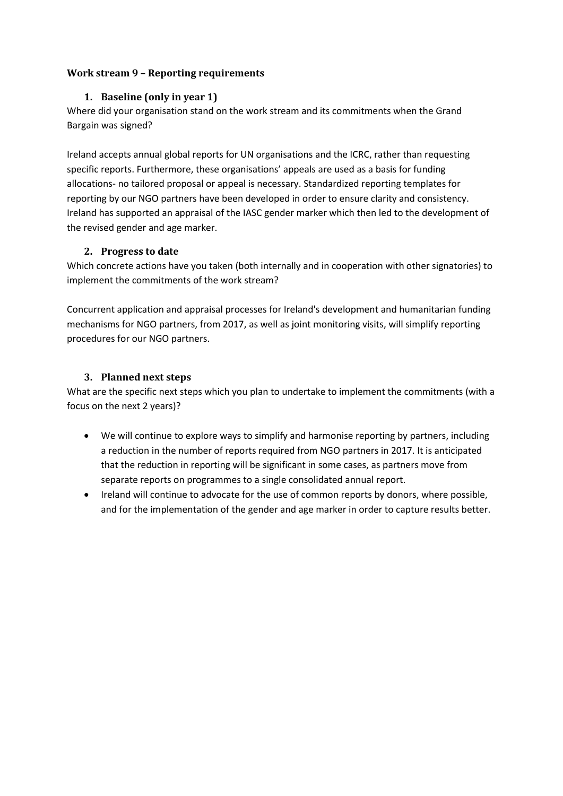#### <span id="page-9-1"></span><span id="page-9-0"></span>**Work stream 9 – Reporting requirements**

#### **1. Baseline (only in year 1)**

Where did your organisation stand on the work stream and its commitments when the Grand Bargain was signed?

Ireland accepts annual global reports for UN organisations and the ICRC, rather than requesting specific reports. Furthermore, these organisations' appeals are used as a basis for funding allocations- no tailored proposal or appeal is necessary. Standardized reporting templates for reporting by our NGO partners have been developed in order to ensure clarity and consistency. Ireland has supported an appraisal of the IASC gender marker which then led to the development of the revised gender and age marker.

#### <span id="page-9-2"></span>**2. Progress to date**

Which concrete actions have you taken (both internally and in cooperation with other signatories) to implement the commitments of the work stream?

Concurrent application and appraisal processes for Ireland's development and humanitarian funding mechanisms for NGO partners, from 2017, as well as joint monitoring visits, will simplify reporting procedures for our NGO partners.

# <span id="page-9-3"></span>**3. Planned next steps**

What are the specific next steps which you plan to undertake to implement the commitments (with a focus on the next 2 years)?

- We will continue to explore ways to simplify and harmonise reporting by partners, including a reduction in the number of reports required from NGO partners in 2017. It is anticipated that the reduction in reporting will be significant in some cases, as partners move from separate reports on programmes to a single consolidated annual report.
- Ireland will continue to advocate for the use of common reports by donors, where possible, and for the implementation of the gender and age marker in order to capture results better.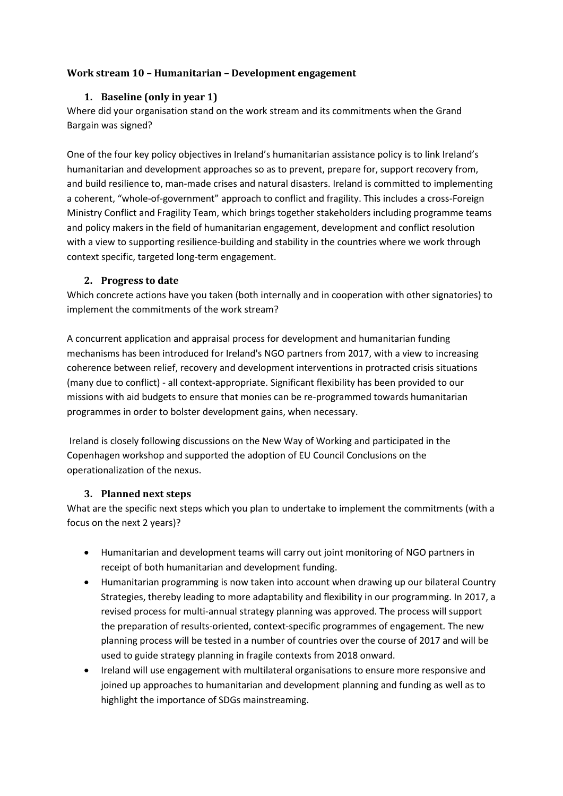### <span id="page-10-1"></span><span id="page-10-0"></span>**Work stream 10 – Humanitarian – Development engagement**

#### **1. Baseline (only in year 1)**

Where did your organisation stand on the work stream and its commitments when the Grand Bargain was signed?

One of the four key policy objectives in Ireland's humanitarian assistance policy is to link Ireland's humanitarian and development approaches so as to prevent, prepare for, support recovery from, and build resilience to, man-made crises and natural disasters. Ireland is committed to implementing a coherent, "whole-of-government" approach to conflict and fragility. This includes a cross-Foreign Ministry Conflict and Fragility Team, which brings together stakeholders including programme teams and policy makers in the field of humanitarian engagement, development and conflict resolution with a view to supporting resilience-building and stability in the countries where we work through context specific, targeted long-term engagement.

#### <span id="page-10-2"></span>**2. Progress to date**

Which concrete actions have you taken (both internally and in cooperation with other signatories) to implement the commitments of the work stream?

A concurrent application and appraisal process for development and humanitarian funding mechanisms has been introduced for Ireland's NGO partners from 2017, with a view to increasing coherence between relief, recovery and development interventions in protracted crisis situations (many due to conflict) - all context-appropriate. Significant flexibility has been provided to our missions with aid budgets to ensure that monies can be re-programmed towards humanitarian programmes in order to bolster development gains, when necessary.

Ireland is closely following discussions on the New Way of Working and participated in the Copenhagen workshop and supported the adoption of EU Council Conclusions on the operationalization of the nexus.

# <span id="page-10-3"></span>**3. Planned next steps**

What are the specific next steps which you plan to undertake to implement the commitments (with a focus on the next 2 years)?

- Humanitarian and development teams will carry out joint monitoring of NGO partners in receipt of both humanitarian and development funding.
- Humanitarian programming is now taken into account when drawing up our bilateral Country Strategies, thereby leading to more adaptability and flexibility in our programming. In 2017, a revised process for multi-annual strategy planning was approved. The process will support the preparation of results-oriented, context-specific programmes of engagement. The new planning process will be tested in a number of countries over the course of 2017 and will be used to guide strategy planning in fragile contexts from 2018 onward.
- Ireland will use engagement with multilateral organisations to ensure more responsive and joined up approaches to humanitarian and development planning and funding as well as to highlight the importance of SDGs mainstreaming.